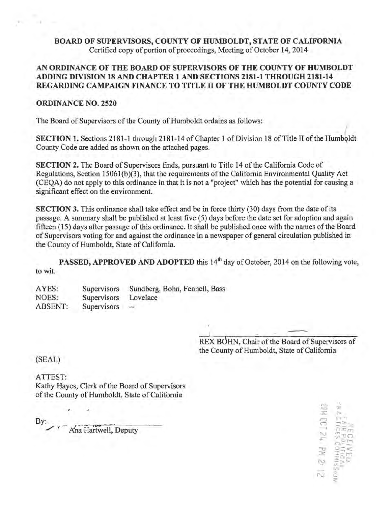BOARD OF SUPERVISORS, COUNTY OF HUMBOLDT, STATE OF CALIFORNIA Certified copy of portion of proceedings, Meeting of October 14, 2014

# AN ORDINANCE OF THE BOARD OF SUPERVISORS OF THE COUNTY OF HUMBOLDT ADDING DIVISION 18 AND CHAPTER 1 AND SECTIONS 2181-1 THROUGH 2181-14 REGARDING CAMPAIGN FINANCE TO TITLE II OF THE HUMBOLDT COUNTY CODE

# ORDINANCE NO. 2520

The Board of Supervisors of the County of Humboldt ordains as follows:

SECTION 1. Sections 2181-1 through 2181-14 of Chapter 1 of Division 18 of Title II of the Humboldt County Code are added as shown on the attached pages.

SECTION 2. The Board of Supervisors finds, pursuant to Title 14 of the California Code of Regulations, Section 15061(b)(3), that the requirements of the California Environmental Quality Act (CEQA) do not apply to this ordinance in that it is not a "project" which has the potential for causing a significant effect on the environment.

SECTION 3. This ordinance shall take effect and be in force thirty (30) days from the date of its passage. A summary shall be published at least five (5) days before the date set for adoption and again fifteen (15) days after passage of this ordinance. It shall be published once with the names of the Board of Supervisors voting for and against the ordinance in a newspaper of general circulation published in the County of Humboldt, State of California.

PASSED, APPROVED AND ADOPTED this 14<sup>th</sup> day of October, 2014 on the following vote, to wit.

AYES: NOES: ABSENT: **Supervisors Supervisors Supervisors** Sundberg, Bohn, Fennell, Bass Lovelace

> REX BOHN, Chair of the Board of Supervisors of the County of Humboldt, State of California

(SEAL)

ATTEST: Kathy Hayes, Clerk of the Board of Supervisors of the County of Humboldt, State of California

By:

/

I

- Ana Hartwell, Deputy

'"-'.! *c-=*  ...,\_,  $\Xi$ N *\_J::-*  $\frac{1}{2}$ N f'.J '- --- >  $\mathbb{C}_{\mathbb{P}^1}$  $-220$  $\overline{\Omega}$  in  $\overline{\Omega}$  $\frac{1}{2}$  $\frac{1}{2}$  $222$ :r:;;:;  $\mathbb{R}^{\infty \times \times}$  $\frac{2}{\alpha}$ ,-. - ...... ~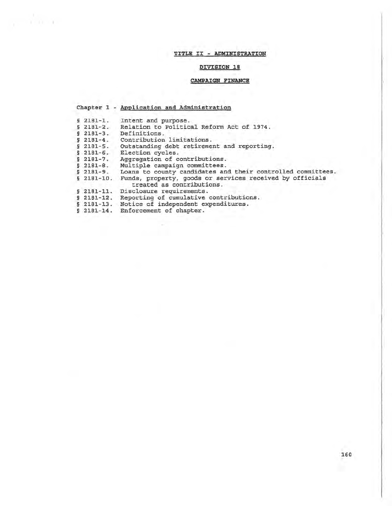# TITLE II - ADMINISTRATION

# DIVISION 18

# CAMPAIGN FINANCE

# Chapter 1 - Application and Administration

- § 2181-1. Intent and purpose.
- § 2181-2. Relation to Political Reform Act of 1974.
- § 2181-3. Definitions.

- § 2181-4. Contribution limitations.
- § 2181-5. Outstanding debt retirement and reporting.
- § 2181-6. Election cycles.
- § 2181-7. Aggregation of contributions.
- § 2181-8. Multiple campaign committees.
- § 2181-9. Loans to county candidates and their controlled committees.
- § 2181-10. Funds, property, goods or services received by officials treated as contributions.
- § 2181-11. Disclosure requirements.
- § 2181-12. Reporting of cumulative contributions.
- § 2181-13. Notice of independent expenditures.
- § 2181-14. Enforcement of chapter.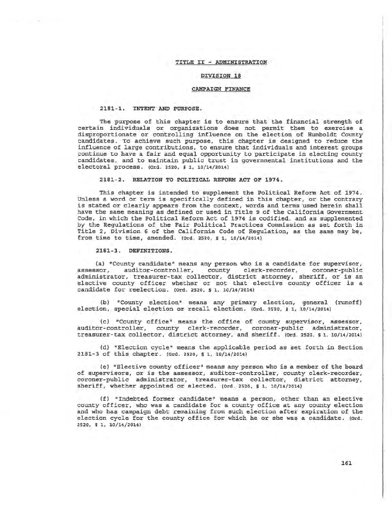### TITLE II - ADMINISTRATION

# DIVISION 18

#### CAMPAIGN FINANCE

#### 2181-1. INTENT AND PURPOSE.

The purpose of this chapter is to ensure that the financial strength of certain individuals or organizations does not permit them to exercise a disproportionate or controlling influence on the election of Humboldt County candidates. To achieve such purpose, this chapter is designed to reduce the influence of large contributions, to ensure that individuals and interest groups continue to have a fair and equal opportunity to participate in electing county candidates, and to maintain public trust in governmental institutions and the electoral process. (Ord. 2520, s 1, 10/14/2014)

2181-2. RELATION TO POLITICAL REFORM ACT OF 1974.

This chapter is intended to supplement the Political Reform Act of 1974. Unless a word or term is specifically defined in this chapter, or the contrary is stated or clearly appears from the context, words and terms used herein shall have the same meaning as defined or used in Title 9 of the California Government Code, in which the Political Reform Act of 1974 is codified, and as supplemented by the Regulations of the Fair Political Practices Commission as set forth in Title 2, Division 6 of the California Code of Regulation, as the same may be, from time to time, amended. (Ord. 2520, § 1, 10/14/2014)

2181-3. DEFINITIONS.

(a) "County candidate" means any person who is a candidate for supervisor,<br>assessor, auditor-controller, county clerk-recorder, coroner-public auditor-controller, county clerk-recorder, coroner-public administrator, treasurer-tax collector, district attorney, sheriff, or is an elective county officer whether or not that elective county officer is a candidate for reelection. (Ord. 2520, s 1, 10/14/2014)

{b) "County election" means any primary election, general {runoff) election, special election or recall election. (Ord. 2520, s 1, 10/14/2014)

{c) "County office" means the office of county supervisor, assessor, auditor-controller, county clerk-recorder, coroner-public administrator, treasurer-tax collector, district attorney, and sheriff. (Ord. 2520, § 1, 10/14/2014)

{d) "Election cycle" means the applicable period as set forth in Section 2181-3 of this chapter. (ord. 2520, § 1, 10/14/2014)

(e) "Elective county officer" means any person who is a member of the board of supervisors, or is the assessor, auditor-controller, county clerk-recorder, coroner-public administrator, treasurer-tax collector, district attorney, sheriff, whether appointed or elected. (ord. 2520, § 1, 10/14/2014)

{f) "Indebted former candidate" means a person, other than an elective county officer, who was a candidate for a county office at any county election and who has campaign debt remaining from such election after expiration of the election cycle for the county office for which he or she was a candidate. (ord. 2520, § 1, 10/14/2014)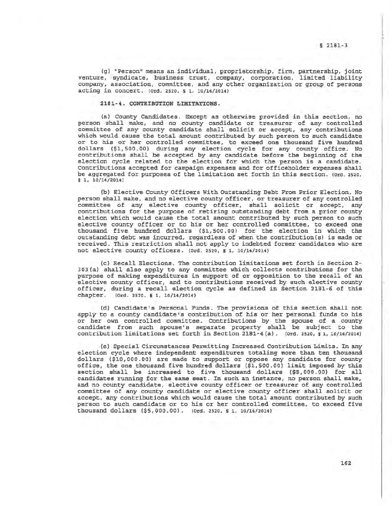(g) "Person" means an individual, proprietorship, firm, partnership, joint venture, syndicate, business trust, company, corporation, limited liability company, association, committee, and any other organization or group of persons acting in concert. (Ord. 2520, § 1. 10/14/2014}

# 2181-4. CONTRIBUTION LIMITATIONS.

(a) County Candidates. Except as otherwise provided in this section, no person shall make, and no county candidate or treasurer of any controlled committee of any county candidate shall solicit or accept, any contributions which would cause the total amount contributed by such person to such candidate or to his or her controlled committee, to exceed one thousand five hundred dollars (\$1,500.00) during any election cycle for any county office. No contributions shall be accepted by any candidate before the beginning of the election cycle related to the election for which the person is a candidate. Contributions accepted for campaign expenses and for officeholder expenses shall be aggregated for purposes of the limitation set forth in this section. (Ord. 2520, § 1, 10/14/2014)

(b) Elective County Officers With Outstanding Debt From Prior Election. No person shall make, and no elective county officer, or treasurer of any controlled committee of any elective county officer, shall solicit or accept, any contributions for the purpose of retiring outstanding debt from a prior county election which would cause the total amount contributed by such person to such elective county officer or to his or her controlled committee, to exceed one thousand five hundred dollars (\$1,500.00) for the election in which the outstanding debt was incurred, regardless of when the contribution(s) is made or received. This restriction shall not apply to indebted former candidates who are not elective county officers. (Ord. 2520, § 1, 10/14/2014)

{c) Recall Elections. The contribution limitations set forth in Section 2- 303(a) shall also apply to any committee which collects contributions for the purpose of making expenditures in support of or opposition to the recall of an elective county officer, and to contributions received by such elective county officer, during a recall election cycle as defined in Section 2181-6 of this chapter. (Ord. 2520, s 1, 10/14/2014}

(d) Candidate's Personal Funds. The provisions of this section shall not apply to a county candidate's contribution of his or her personal funds to his or her own controlled committee. Contributions by the spouse of a county candidate from such spouse's separate property shall be subject to the contribution limitations set forth in Section 2181-4 (a) . (Ord. 2520, § 1, 10/14/2014)

(e) Special Circumstances Permitting Increased Contribution Limits. In any election cycle where independent expenditures totaling more than ten thousand dollars (\$10,000.00) are made to support or oppose any candidate for county office, the one thousand five hundred dollars (\$1,500.00) limit imposed by this section shall be increased to five thousand dollars (\$5, 000. 00) for all candidates running for the same seat. In such an instance, no person shall make, and no county candidate, elective county officer or treasurer of any controlled committee of any county candidate or elective county officer shall solicit or accept, any contributions which would cause the total amount contributed by such person to such candidate or to his or her controlled committee, to exceed five thousand dollars (\$5,000.00}. (Ord. 2520, § 1, 10/14/2014)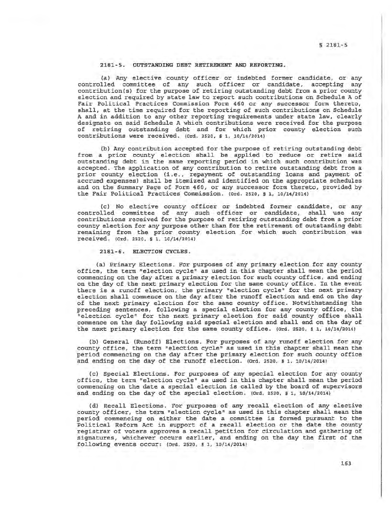### 2181-5. OUTSTANDING DEBT RETIREMENT AND REPORTING.

(a) Any elective county officer or indebted former candidate, or any controlled committee of any such officer or candidate, accepting any contribution(s) for the purpose of retiring outstanding debt from a prior county election and required by state law to report such contributions on Schedule A of Fair Political Practices Commission Form 460 or any successor form thereto, shall, at the time required for the reporting of such contributions on Schedule A and in addition to any other reporting requirements under state law, clearly designate on said Schedule A which contributions were received for the purpose of retiring outstanding debt and for which prior county election such contributions were received. (ord. 2520, § 1, 10/14/2014)

(b) Any contribution accepted for the purpose of retiring outstanding debt from a prior county election shall be applied to reduce or retire said outstanding debt in the same reporting period in which such contribution was accepted. The application of any contribution to retire outstanding debt from a prior county election (i.e., repayment of outstanding loans and payment of accrued expenses) shall be itemized and identified on the appropriate schedules and on the Summary Page of Form 460, or any successor form thereto, provided by the Fair Political Practices Commission. {Ord. 2520, § 1, 10/14/20141

(c) No elective county officer or indebted former candidate, or any controlled committee of any such officer or candidate, shall use any contributions received for the purpose of retiring outstanding debt from a prior county election for any purpose other than for the retirement of outstanding debt remaining from the prior county election for which such contribution was received. (Ord. 2s2o, § 1, 10/14/2014)

### 2181-6. ELECTION CYCLES.

(a} Primary Elections. For purposes of any primary election for any county office, the term "election cycle" as used in this chapter shall mean the period commencing on the day after a primary election for such county office, and ending on the day of the next primary election for the same county office. In the event there is a runoff election, the primary "election cycle" for the next primary election shall commence on the day after the runoff election and end on the day of the next primary election for the same county office. Notwithstanding the preceding sentences, following a special election for any county office, the "election cycle" for the next primary election for said county office shall commence on the day following said special election and shall end on the day of the next primary election for the same county office. (Ord. 2520, s 1, 10/14/20141

(b) General (Runoff) Elections. For purposes of any runoff election for any county office, the term "election cycle" as used in this chapter shall mean the period commencing on the day after the primary election for such county office and ending on the day of the runoff election. (ord. 2520, \$ 1, 10/14/2014)

(c) Special Elections. For purposes of any special election for any county office, the term "election cycle" as used in this chapter shall mean the period commencing on the date a special election is called by the board of supervisors and ending on the day of the special election. (0rd. 2520, § 1, 10/14/2014)

(d) Recall Elections. For purposes of any recall election of any elective county officer, the term "election cycle" as used in this chapter shall mean the period commencing on either the date a committee is formed pursuant to the Political Reform Act in support of a recall election or the date the county registrar of voters approves a recall petition for circulation and gathering of signatures, whichever occurs earlier, and ending on the day the first of the following events occur: (ord. 2520, § 1, 10/14/2014)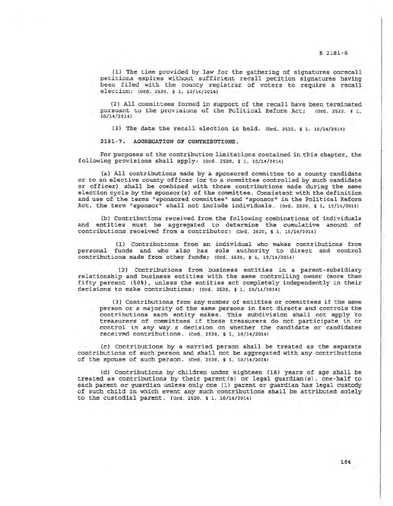(1} The time provided by law for the gathering of signatures onrecall petitions expires without sufficient recall petition signatures having been filed with the county registrar of voters to require a recall election; (ord. 2520, § 1, 10/14/2014)

(2) All committees formed in support of the recall have been terminated rsuant to the provisions of the Political Reform Act: (0rd. 2520, § 1, pursuant to the provisions of the Political Reform Act; 10/14/2014)

 $(3)$  The date the recall election is held.  $(ord. 2520, s. 1, 10/14/2014)$ 

2181-7. AGGREGATION OF CONTRIBUTIONS.

For purposes of the contribution limitations contained in this chapter, the following provisions shall apply:  $(0rd. 2520, s.1, 10/14/2014)$ 

(a) All contributions made by a sponsored committee to a county candidate or to an elective county officer (or to a committee controlled by such candidate or officer) shall be combined with those contributions made during the same election cycle by the sponsor (s) of the committee. Consistent with the definition and use of the terms "sponsored committee" and "sponsor" in the Political Reform Act, the term "sponsor" shall not include individuals. (Ord. 2520, s 1, 10/14/2014)

(b) Contributions received from the following combinations of individuals and entities must be aggregated to determine the cumulative amount of contributions received from a contributor: (Ord. 2520, s 1, 10/14/20l.4)

(1) Contributions from an individual who makes contributions from personal funds and who also has sole authority to direct and control contributions made from other funds; (Ord. 2520, s 1., 10/14/2014)

(2} Contributions from business entities in a parent-subsidiary relationship and business entities with the same controlling owner (more than fifty percent (SO%}, unless the entities act completely independently in their decisions to make contributions; (Ord. 2520, s 1, 10/14/2014)

(3) Contributions from any number of entities or committees if the same person or a majority of the same persons in fact directs and controls the contributions each entity makes. This subdivision shall not apply to treasurers of committees if these treasurers do not participate in or control in any way a decision on whether the candidate or candidates received contributions. (Ord. 2520, s 1, 10/14/2014)

(c) Contributions by a married person shall be treated as the separate contributions of such person and shall not be aggregated with any contributions of the spouse of such person. (Ord. 2520, § 1, 10/14/2014)

(d) Contributions by children under eighteen (18} years of age shall be treated as contributions by their parent(s} or legal guardian(s), one-half to each parent or guardian unless only one (1) parent or guardian has legal custody of such child in which event any such contributions shall be attributed solely to the custodial parent. (Ord. 2520, s 1, 10/14/2014)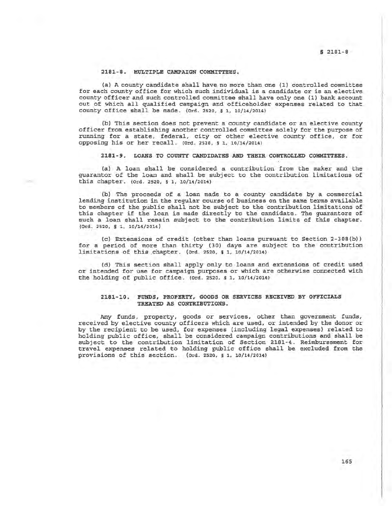# 2181-8. MULTIPLE CAMPAIGN COMMITTEES.

(a} A county candidate shall have no more than one (1) controlled committee for each county office for which such individual is a candidate or is an elective county officer and such controlled committee shall have only one (1) bank account out of which all qualified campaign and officeholder expenses related to that  $county$  office shall be made. (Ord. 2520, § 1, 10/14/2014)

(b) This section does not prevent a county candidate or an elective county officer from establishing another controlled committee solely for the purpose of running for a state, federal, city or other elective county office, or for opposing his or her recall. (0rd. 2520, § 1, 10/14/2014)

2181-9. LOANS TO COUNTY CANDIDATES AND THEIR CONTROLLED COMMITTEES.

(a) A loan shall be considered a contribution from the maker and the guarantor of the loan and shall be subject *to* the contribution limitations of this chapter. (Ord. 2520, § 1, 10/14/2014)

(b) The proceeds of a loan made to a county candidate by a commercial lending institution in the regular course of business on the same terms available to members of the public shall not be subject to the contribution limitations of this chapter if the loan is made directly to the candidate. The guarantors of such a loan shall remain subject to the contribution limits of this chapter. (Ord. 2520, § 1, 10/14/2014)

(c} Extensions of credit (other than loans pursuant *to* Section 2-30B(b)) for a period of more than thirty (30) days are subject to the contribution limitations of this chapter. (ord. 2520, § 1, 10/14/2014)

(d) This section shall apply only to loans and extensions of credit used or intended for use for campaign purposes or which are otherwise connected with the holding of public office. (Ord. 2520,  $s$  1,  $10/14/2014$ )

# 2181-10. FUNDS, PROPERTY, GOODS OR SERVICES RECEIVED BY OFFICIALS TREATED AS CONTRIBUTIONS.

Any funds, property, goods or services, other than government funds, received by elective county officers which are used, or intended by the donor or by the recipient to be used, for expenses (including legal expenses} related to holding public office, shall be considered campaign contributions and shall be subject to the contribution limitation of Section 2181-4. Reimbursement for travel expenses related to holding public office shall be excluded from the  $proxisions of this section.$  (ord. 2520, § 1, 10/14/2014)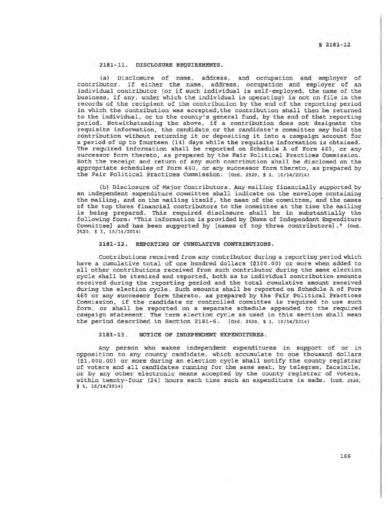# 2181-11. DISCLOSURE REQUIREMENTS.

(a) Disclosure of name, address, and occupation and employer of contributor. If either the name, address, occupation and employer of an individual contributor (or if such individual is self-employed, the name of the business, if any, under which the individual is operating) is not on file in the records of the recipient of the contribution by the end of the reporting period in which the contribution was accepted, the contribution shall then be returned to the individual, or to the county's general fund, by the end of that reporting period. Notwithstanding the above, if a contribution does not designate the requisite information, the candidate or the candidate's committee may hold the contribution without returning it or depositing it into a campaign account for a period of up to fourteen (14) days while the requisite information is obtained. The required information shall be reported on Schedule A of Form 460, or any successor form thereto, as prepared by the Fair Political Practices Commission. Both the receipt and return of any such contribution shall be disclosed on the appropriate schedules of Form 460, or any successor form thereto, as prepared by the Fair Political Practices Commission. (Ord. 2520, s 1, 10/14/2014)

(b) Disclosure of Major Contributors. Any mailing financially supported by an independent expenditure committee shall indicate on the envelope containing the mailing, and on the mailing itself, the name of the committee, and the names of the top three financial contributors to the committee at the time the mailing is being prepared. This required disclosure shall be in substantially the following form: "This information is provided by [Name of Independent Expenditure Committee] and has been supported by [names of top three contributors]." (ord. 2520, § 1, 10/14/2014)

# 2181-12. REPORTING OF CUMULATIVE CONTRIBUTIONS.

Contributions received from any contributor during a reporting period which have a cumulative total of one hundred dollars (\$100.00) or more when added to all other contributions received from such contributor during the same election cycle shall be itemized and reported, both as to individual contribution amounts received during the reporting period and the total cumulative amount received during the election cycle. Such amounts shall be reported on Schedule A of Form 460 or any successor form thereto, as prepared by the Fair Political Practices Commission, if the candidate or controlled committee is required to use such form, or shall be reported on a separate schedule appended to the required campaign statement. The term election cycle as used in this section shall mean the period described in Section 2181-6. (ord. 2520, § 1, 10/14/2014)

### 2181-13. NOTICE OF INDEPENDENT EXPENDITURES.

Any person who makes independent expenditures in support of or in opposition to any county candidate, which accumulate to one thousand dollars (\$1,000.00) or more during an election cycle shall notify the county registrar of voters and all candidates running for the same seat, by telegram, facsimile, or by any other electronic means accepted by the county registrar of voters, within twenty-four (24) hours each time such an expenditure is made. (Ord. 2520, s 1, 10/14/2014)